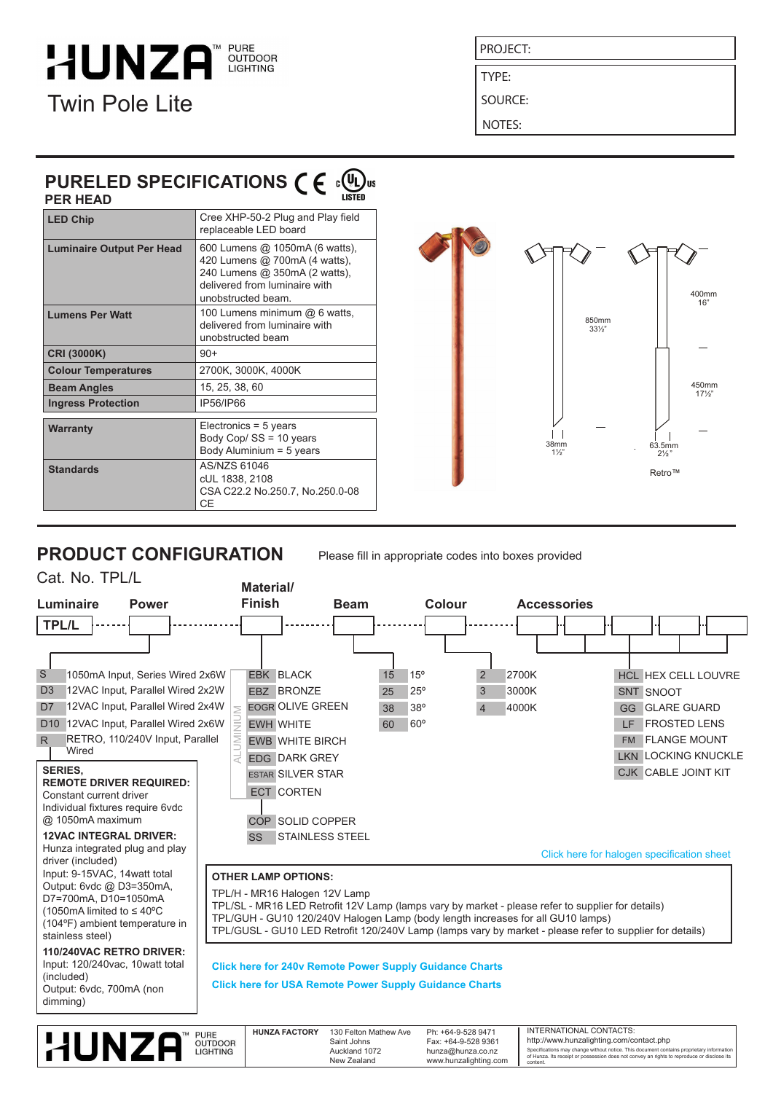### **HUNZA OUTDOOR LIGHTING** Twin Pole Lite

PROJECT:

TYPE:

SOURCE:

NOTES:

### **PURELED SPECIFICATIONS**  $\epsilon \in \mathbb{Q}$ **PER HEAD**

| FLN IILAD                        |                                                                                                                                                         |
|----------------------------------|---------------------------------------------------------------------------------------------------------------------------------------------------------|
| <b>LED Chip</b>                  | Cree XHP-50-2 Plug and Play field<br>replaceable LED board                                                                                              |
| <b>Luminaire Output Per Head</b> | 600 Lumens @ 1050mA (6 watts),<br>420 Lumens @ 700mA (4 watts),<br>240 Lumens @ 350mA (2 watts),<br>delivered from luminaire with<br>unobstructed beam. |
| <b>Lumens Per Watt</b>           | 100 Lumens minimum @ 6 watts.<br>delivered from luminaire with<br>unobstructed beam                                                                     |
| <b>CRI (3000K)</b>               | $90+$                                                                                                                                                   |
| <b>Colour Temperatures</b>       | 2700K, 3000K, 4000K                                                                                                                                     |
| <b>Beam Angles</b>               | 15, 25, 38, 60                                                                                                                                          |
| <b>Ingress Protection</b>        | IP56/IP66                                                                                                                                               |
| <b>Warranty</b>                  | Electronics = $5$ years<br>Body Cop/ SS = 10 years<br>Body Aluminium = 5 years                                                                          |
| <b>Standards</b>                 | AS/NZS 61046<br>cUL 1838, 2108<br>CSA C22.2 No.250.7, No.250.0-08<br>CЕ                                                                                 |



## **PRODUCT CONFIGURATION**

Please fill in appropriate codes into boxes provided